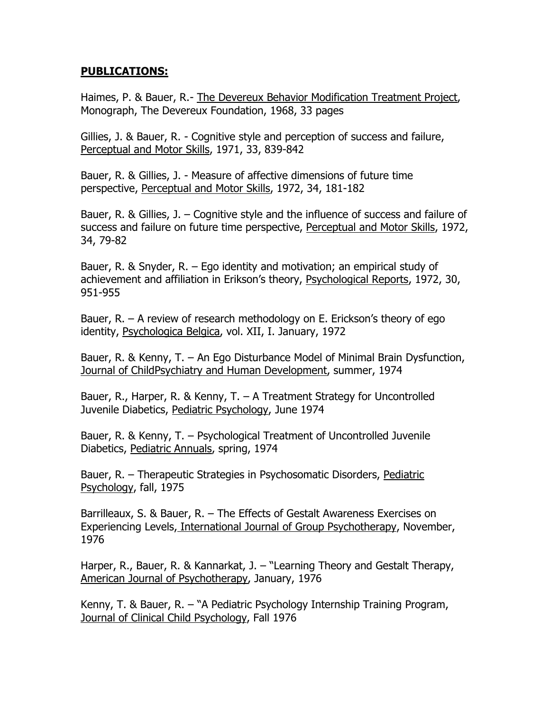## PUBLICATIONS:

Haimes, P. & Bauer, R.- The Devereux Behavior Modification Treatment Project, Monograph, The Devereux Foundation, 1968, 33 pages

Gillies, J. & Bauer, R. - Cognitive style and perception of success and failure, Perceptual and Motor Skills, 1971, 33, 839-842

Bauer, R. & Gillies, J. - Measure of affective dimensions of future time perspective, Perceptual and Motor Skills, 1972, 34, 181-182

Bauer, R. & Gillies, J. – Cognitive style and the influence of success and failure of success and failure on future time perspective, Perceptual and Motor Skills, 1972, 34, 79-82

Bauer, R. & Snyder, R. – Ego identity and motivation; an empirical study of achievement and affiliation in Erikson's theory, Psychological Reports, 1972, 30, 951-955

Bauer, R. – A review of research methodology on E. Erickson's theory of ego identity, Psychologica Belgica, vol. XII, I. January, 1972

Bauer, R. & Kenny, T. – An Ego Disturbance Model of Minimal Brain Dysfunction, Journal of ChildPsychiatry and Human Development, summer, 1974

Bauer, R., Harper, R. & Kenny, T. – A Treatment Strategy for Uncontrolled Juvenile Diabetics, Pediatric Psychology, June 1974

Bauer, R. & Kenny, T. – Psychological Treatment of Uncontrolled Juvenile Diabetics, Pediatric Annuals, spring, 1974

Bauer, R. – Therapeutic Strategies in Psychosomatic Disorders, Pediatric Psychology, fall, 1975

Barrilleaux, S. & Bauer, R. – The Effects of Gestalt Awareness Exercises on Experiencing Levels, International Journal of Group Psychotherapy, November, 1976

Harper, R., Bauer, R. & Kannarkat, J. – "Learning Theory and Gestalt Therapy, American Journal of Psychotherapy, January, 1976

Kenny, T. & Bauer, R. – "A Pediatric Psychology Internship Training Program, Journal of Clinical Child Psychology, Fall 1976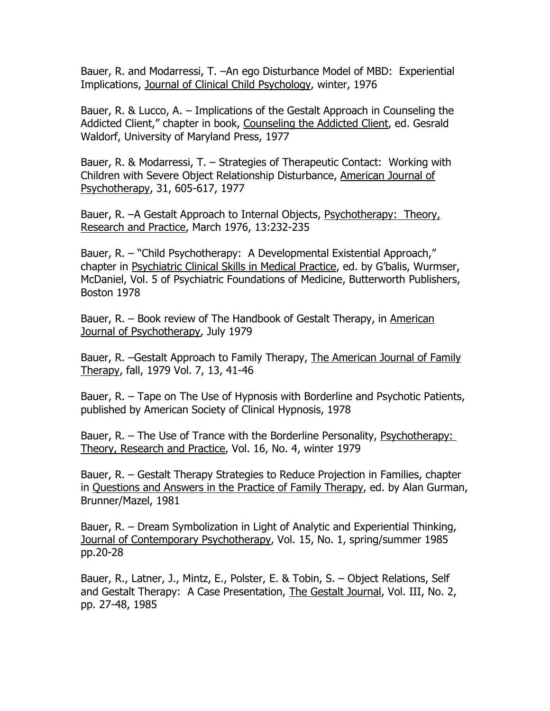Bauer, R. and Modarressi, T. –An ego Disturbance Model of MBD: Experiential Implications, Journal of Clinical Child Psychology, winter, 1976

Bauer, R. & Lucco, A. – Implications of the Gestalt Approach in Counseling the Addicted Client," chapter in book, Counseling the Addicted Client, ed. Gesrald Waldorf, University of Maryland Press, 1977

Bauer, R. & Modarressi, T. – Strategies of Therapeutic Contact: Working with Children with Severe Object Relationship Disturbance, American Journal of Psychotherapy, 31, 605-617, 1977

Bauer, R. –A Gestalt Approach to Internal Objects, Psychotherapy: Theory, Research and Practice, March 1976, 13:232-235

Bauer, R. – "Child Psychotherapy: A Developmental Existential Approach," chapter in Psychiatric Clinical Skills in Medical Practice, ed. by G'balis, Wurmser, McDaniel, Vol. 5 of Psychiatric Foundations of Medicine, Butterworth Publishers, Boston 1978

Bauer, R. – Book review of The Handbook of Gestalt Therapy, in American Journal of Psychotherapy, July 1979

Bauer, R. - Gestalt Approach to Family Therapy, The American Journal of Family Therapy, fall, 1979 Vol. 7, 13, 41-46

Bauer, R. – Tape on The Use of Hypnosis with Borderline and Psychotic Patients, published by American Society of Clinical Hypnosis, 1978

Bauer, R. – The Use of Trance with the Borderline Personality, Psychotherapy: Theory, Research and Practice, Vol. 16, No. 4, winter 1979

Bauer, R. – Gestalt Therapy Strategies to Reduce Projection in Families, chapter in Questions and Answers in the Practice of Family Therapy, ed. by Alan Gurman, Brunner/Mazel, 1981

Bauer, R. – Dream Symbolization in Light of Analytic and Experiential Thinking, Journal of Contemporary Psychotherapy, Vol. 15, No. 1, spring/summer 1985 pp.20-28

Bauer, R., Latner, J., Mintz, E., Polster, E. & Tobin, S. – Object Relations, Self and Gestalt Therapy: A Case Presentation, The Gestalt Journal, Vol. III, No. 2, pp. 27-48, 1985